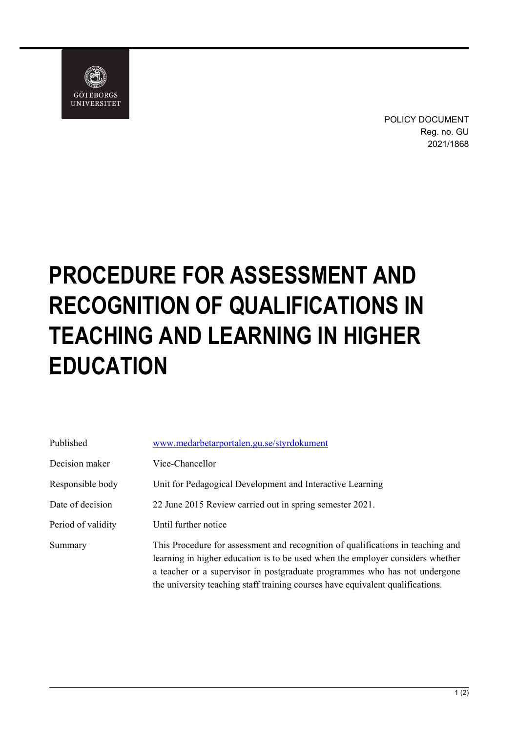

POLICY DOCUMENT Reg. no. GU 2021/1868

## **PROCEDURE FOR ASSESSMENT AND RECOGNITION OF QUALIFICATIONS IN TEACHING AND LEARNING IN HIGHER EDUCATION**

| Published          | www.medarbetarportalen.gu.se/styrdokument                                                                                                                                                                                                                                                                                         |
|--------------------|-----------------------------------------------------------------------------------------------------------------------------------------------------------------------------------------------------------------------------------------------------------------------------------------------------------------------------------|
| Decision maker     | Vice-Chancellor                                                                                                                                                                                                                                                                                                                   |
| Responsible body   | Unit for Pedagogical Development and Interactive Learning                                                                                                                                                                                                                                                                         |
| Date of decision   | 22 June 2015 Review carried out in spring semester 2021.                                                                                                                                                                                                                                                                          |
| Period of validity | Until further notice                                                                                                                                                                                                                                                                                                              |
| Summary            | This Procedure for assessment and recognition of qualifications in teaching and<br>learning in higher education is to be used when the employer considers whether<br>a teacher or a supervisor in postgraduate programmes who has not undergone<br>the university teaching staff training courses have equivalent qualifications. |